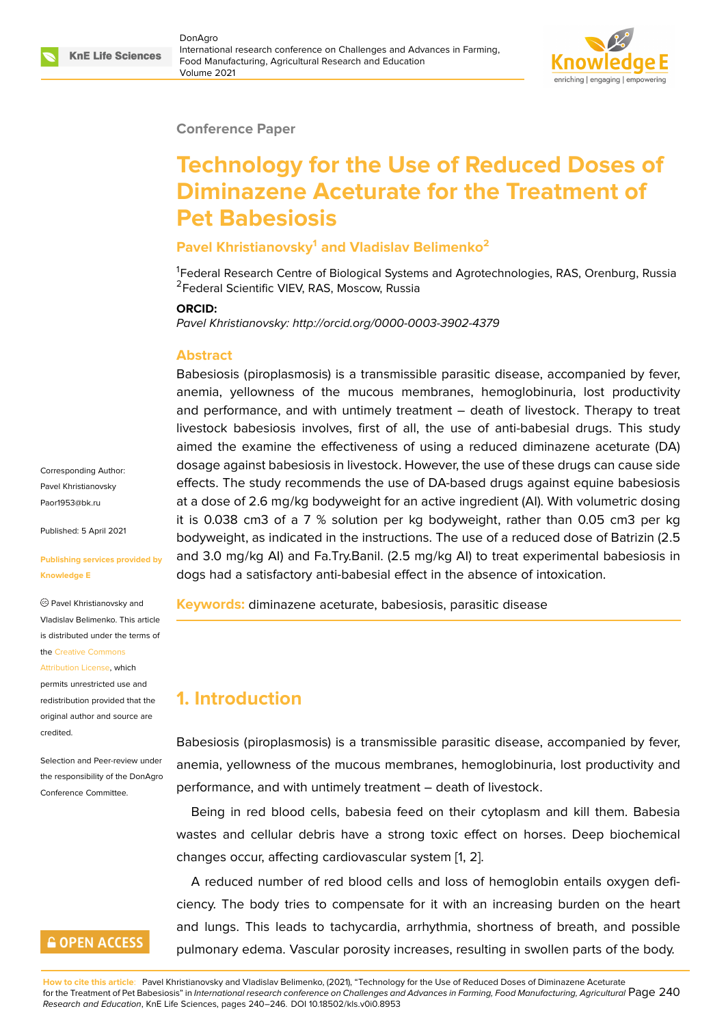#### **Conference Paper**

# **Technology for the Use of Reduced Doses of Diminazene Aceturate for the Treatment of Pet Babesiosis**

#### **Pavel Khristianovsky<sup>1</sup> and Vladislav Belimenko<sup>2</sup>**

<sup>1</sup>Federal Research Centre of Biological Systems and Agrotechnologies, RAS, Orenburg, Russia <sup>2</sup>Federal Scientific VIEV, RAS, Moscow, Russia

#### **ORCID:**

*Pavel Khristianovsky: http://orcid.org/0000-0003-3902-4379*

#### **Abstract**

Babesiosis (piroplasmosis) is a transmissible parasitic disease, accompanied by fever, anemia, yellowness of the mucous membranes, hemoglobinuria, lost productivity and performance, and with untimely treatment – death of livestock. Therapy to treat livestock babesiosis involves, first of all, the use of anti-babesial drugs. This study aimed the examine the effectiveness of using a reduced diminazene aceturate (DA) dosage against babesiosis in livestock. However, the use of these drugs can cause side effects. The study recommends the use of DA-based drugs against equine babesiosis at a dose of 2.6 mg/kg bodyweight for an active ingredient (AI). With volumetric dosing it is 0.038 cm3 of a 7 % solution per kg bodyweight, rather than 0.05 cm3 per kg bodyweight, as indicated in the instructions. The use of a reduced dose of Batrizin (2.5 and 3.0 mg/kg AI) and Fa.Try.Banil. (2.5 mg/kg AI) to treat experimental babesiosis in dogs had a satisfactory anti-babesial effect in the absence of intoxication.

**Keywords:** diminazene aceturate, babesiosis, parasitic disease

# **1. Introduction**

Babesiosis (piroplasmosis) is a transmissible parasitic disease, accompanied by fever, anemia, yellowness of the mucous membranes, hemoglobinuria, lost productivity and performance, and with untimely treatment – death of livestock.

Being in red blood cells, babesia feed on their cytoplasm and kill them. Babesia wastes and cellular debris have a strong toxic effect on horses. Deep biochemical changes occur, affecting cardiovascular system [1, 2].

A reduced number of red blood cells and loss of hemoglobin entails oxygen deficiency. The body tries to compensate for it with an increasing burden on the heart and lungs. This leads to tachycardia, arrhythm[ia](#page-6-0)[, s](#page-6-1)hortness of breath, and possible pulmonary edema. Vascular porosity increases, resulting in swollen parts of the body.

**How to cite this article**: Pavel Khristianovsky and Vladislav Belimenko, (2021), "Technology for the Use of Reduced Doses of Diminazene Aceturate for the Treatment of Pet Babesiosis" in *International research conference on Challenges and Advances in Farming, Food Manufacturing, Agricultural* Page 240 *Research and Education*, KnE Life Sciences, pages 240–246. DOI 10.18502/kls.v0i0.8953

Corresponding Author: Pavel Khristianovsky Paor1953@bk.ru

Published: 5 April 2021

#### **[Publishing servi](mailto:Paor1953@bk.ru)ces provided by Knowledge E**

Pavel Khristianovsky and Vladislav Belimenko. This article is distributed under the terms of the Creative Commons

Attribution License, which

permits unrestricted use and redistribution provided that the orig[inal author and sou](https://creativecommons.org/licenses/by/4.0/)rce are [credited.](https://creativecommons.org/licenses/by/4.0/)

Selection and Peer-review under the responsibility of the DonAgro Conference Committee.

# **GOPEN ACCESS**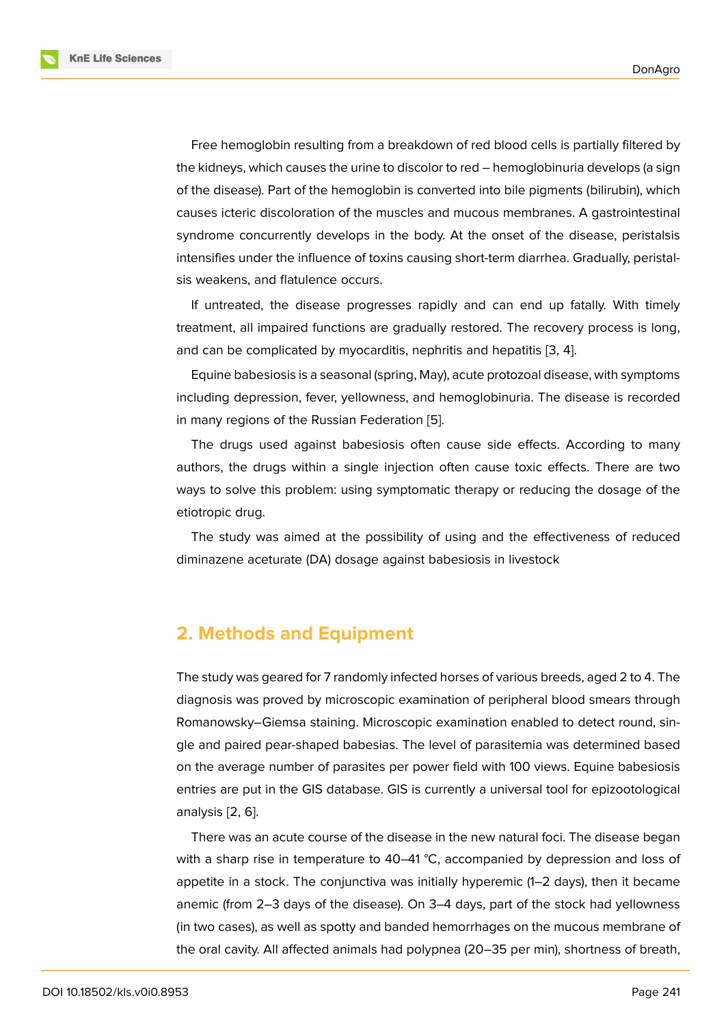Free hemoglobin resulting from a breakdown of red blood cells is partially filtered by the kidneys, which causes the urine to discolor to red – hemoglobinuria develops (a sign of the disease). Part of the hemoglobin is converted into bile pigments (bilirubin), which causes icteric discoloration of the muscles and mucous membranes. A gastrointestinal syndrome concurrently develops in the body. At the onset of the disease, peristalsis intensifies under the influence of toxins causing short-term diarrhea. Gradually, peristalsis weakens, and flatulence occurs.

If untreated, the disease progresses rapidly and can end up fatally. With timely treatment, all impaired functions are gradually restored. The recovery process is long, and can be complicated by myocarditis, nephritis and hepatitis [3, 4].

Equine babesiosis is a seasonal (spring, May), acute protozoal disease, with symptoms including depression, fever, yellowness, and hemoglobinuria. The disease is recorded in many regions of the Russian Federation [5].

The drugs used against babesiosis often cause side effects. According to many authors, the drugs within a single injection often cause toxic effects. There are two ways to solve this problem: using symptom[at](#page-6-2)ic therapy or reducing the dosage of the etiotropic drug.

The study was aimed at the possibility of using and the effectiveness of reduced diminazene aceturate (DA) dosage against babesiosis in livestock

### **2. Methods and Equipment**

The study was geared for 7 randomly infected horses of various breeds, aged 2 to 4. The diagnosis was proved by microscopic examination of peripheral blood smears through Romanowsky–Giemsa staining. Microscopic examination enabled to detect round, single and paired pear-shaped babesias. The level of parasitemia was determined based on the average number of parasites per power field with 100 views. Equine babesiosis entries are put in the GIS database. GIS is currently a universal tool for epizootological analysis [2, 6].

There was an acute course of the disease in the new natural foci. The disease began with a sharp rise in temperature to 40–41  $\degree$ C, accompanied by depression and loss of appetite [in](#page-6-1) [a](#page-6-3) stock. The conjunctiva was initially hyperemic (1–2 days), then it became anemic (from 2–3 days of the disease). On 3–4 days, part of the stock had yellowness (in two cases), as well as spotty and banded hemorrhages on the mucous membrane of the oral cavity. All affected animals had polypnea (20–35 per min), shortness of breath,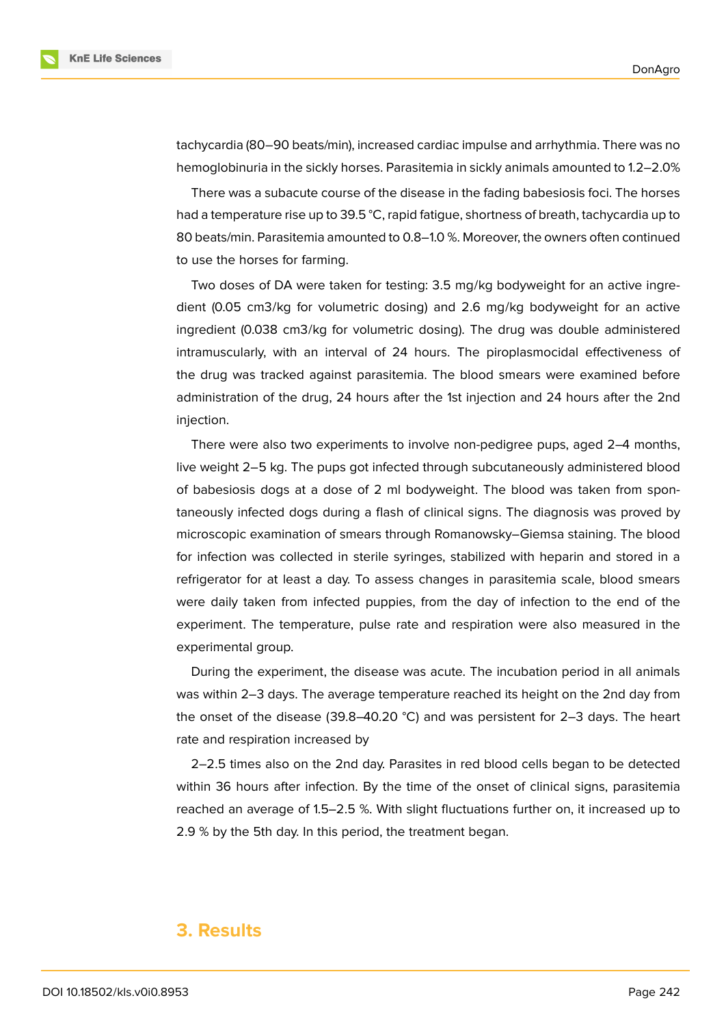

tachycardia (80–90 beats/min), increased cardiac impulse and arrhythmia. There was no hemoglobinuria in the sickly horses. Parasitemia in sickly animals amounted to 1.2–2.0%

There was a subacute course of the disease in the fading babesiosis foci. The horses had a temperature rise up to 39.5 °C, rapid fatigue, shortness of breath, tachycardia up to 80 beats/min. Parasitemia amounted to 0.8–1.0 %. Moreover, the owners often continued to use the horses for farming.

Two doses of DA were taken for testing: 3.5 mg/kg bodyweight for an active ingredient (0.05 cm3/kg for volumetric dosing) and 2.6 mg/kg bodyweight for an active ingredient (0.038 cm3/kg for volumetric dosing). The drug was double administered intramuscularly, with an interval of 24 hours. The piroplasmocidal effectiveness of the drug was tracked against parasitemia. The blood smears were examined before administration of the drug, 24 hours after the 1st injection and 24 hours after the 2nd injection.

There were also two experiments to involve non-pedigree pups, aged 2–4 months, live weight 2–5 kg. The pups got infected through subcutaneously administered blood of babesiosis dogs at a dose of 2 ml bodyweight. The blood was taken from spontaneously infected dogs during a flash of clinical signs. The diagnosis was proved by microscopic examination of smears through Romanowsky–Giemsa staining. The blood for infection was collected in sterile syringes, stabilized with heparin and stored in a refrigerator for at least a day. To assess changes in parasitemia scale, blood smears were daily taken from infected puppies, from the day of infection to the end of the experiment. The temperature, pulse rate and respiration were also measured in the experimental group.

During the experiment, the disease was acute. The incubation period in all animals was within 2–3 days. The average temperature reached its height on the 2nd day from the onset of the disease (39.8–40.20 °C) and was persistent for 2–3 days. The heart rate and respiration increased by

2–2.5 times also on the 2nd day. Parasites in red blood cells began to be detected within 36 hours after infection. By the time of the onset of clinical signs, parasitemia reached an average of 1.5–2.5 %. With slight fluctuations further on, it increased up to 2.9 % by the 5th day. In this period, the treatment began.

### **3. Results**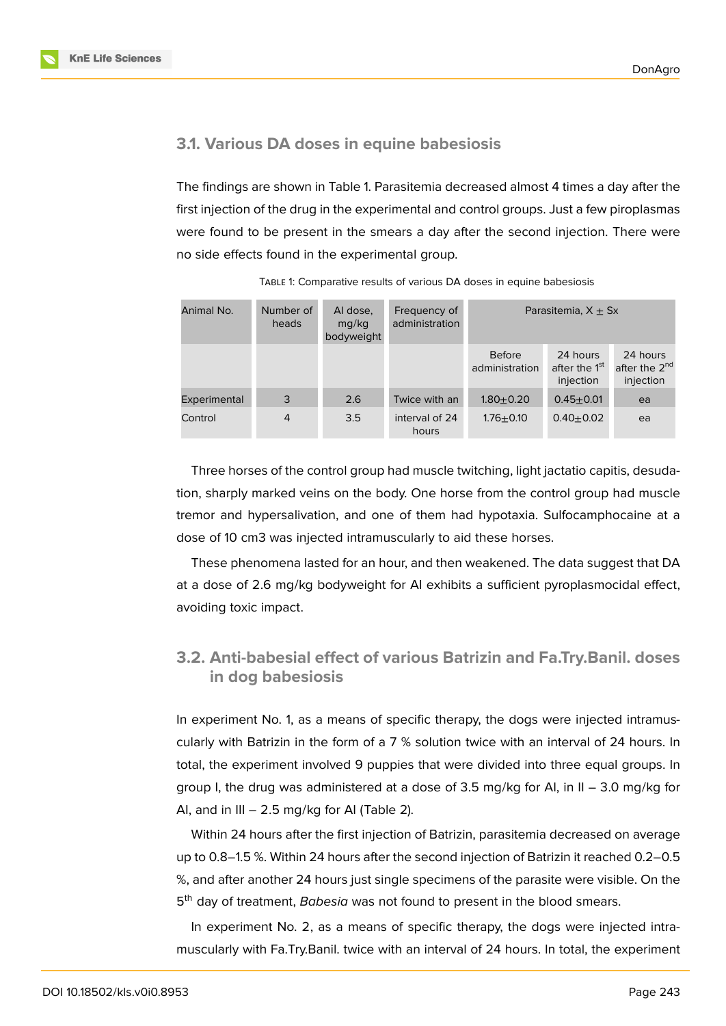

The findings are shown in Table 1. Parasitemia decreased almost 4 times a day after the first injection of the drug in the experimental and control groups. Just a few piroplasmas were found to be present in the smears a day after the second injection. There were no side effects found in the experimental group.

| Animal No.   | Number of<br>heads | Al dose,<br>mq/kg<br>bodyweight | Frequency of<br>administration | Parasitemia, $X \pm Sx$                                                               |               |                                                    |
|--------------|--------------------|---------------------------------|--------------------------------|---------------------------------------------------------------------------------------|---------------|----------------------------------------------------|
|              |                    |                                 |                                | <b>Before</b><br>24 hours<br>after the 1 <sup>st</sup><br>administration<br>injection |               | 24 hours<br>after the 2 <sup>nd</sup><br>injection |
| Experimental | 3                  | 2.6                             | Twice with an                  | $1.80 + 0.20$                                                                         | $0.45 + 0.01$ | ea                                                 |
| Control      | 4                  | 3.5                             | interval of 24<br>hours        | $1.76 + 0.10$                                                                         | $0.40 + 0.02$ | ea                                                 |

TABLE 1: Comparative results of various DA doses in equine babesiosis

Three horses of the control group had muscle twitching, light jactatio capitis, desudation, sharply marked veins on the body. One horse from the control group had muscle tremor and hypersalivation, and one of them had hypotaxia. Sulfocamphocaine at a dose of 10 cm3 was injected intramuscularly to aid these horses.

These phenomena lasted for an hour, and then weakened. The data suggest that DA at a dose of 2.6 mg/kg bodyweight for AI exhibits a sufficient pyroplasmocidal effect, avoiding toxic impact.

### **3.2. Anti-babesial effect of various Batrizin and Fa.Try.Banil. doses in dog babesiosis**

In experiment No. 1, as a means of specific therapy, the dogs were injected intramuscularly with Batrizin in the form of a 7 % solution twice with an interval of 24 hours. In total, the experiment involved 9 puppies that were divided into three equal groups. In group I, the drug was administered at a dose of  $3.5$  mg/kg for AI, in II –  $3.0$  mg/kg for AI, and in III  $-2.5$  mg/kg for AI (Table 2).

Within 24 hours after the first injection of Batrizin, parasitemia decreased on average up to 0.8–1.5 %. Within 24 hours after the second injection of Batrizin it reached 0.2–0.5 %, and after another 24 hours just single specimens of the parasite were visible. On the 5<sup>th</sup> day of treatment, *Babesia* was not found to present in the blood smears.

In experiment No. 2, as a means of specific therapy, the dogs were injected intramuscularly with Fa.Try.Banil. twice with an interval of 24 hours. In total, the experiment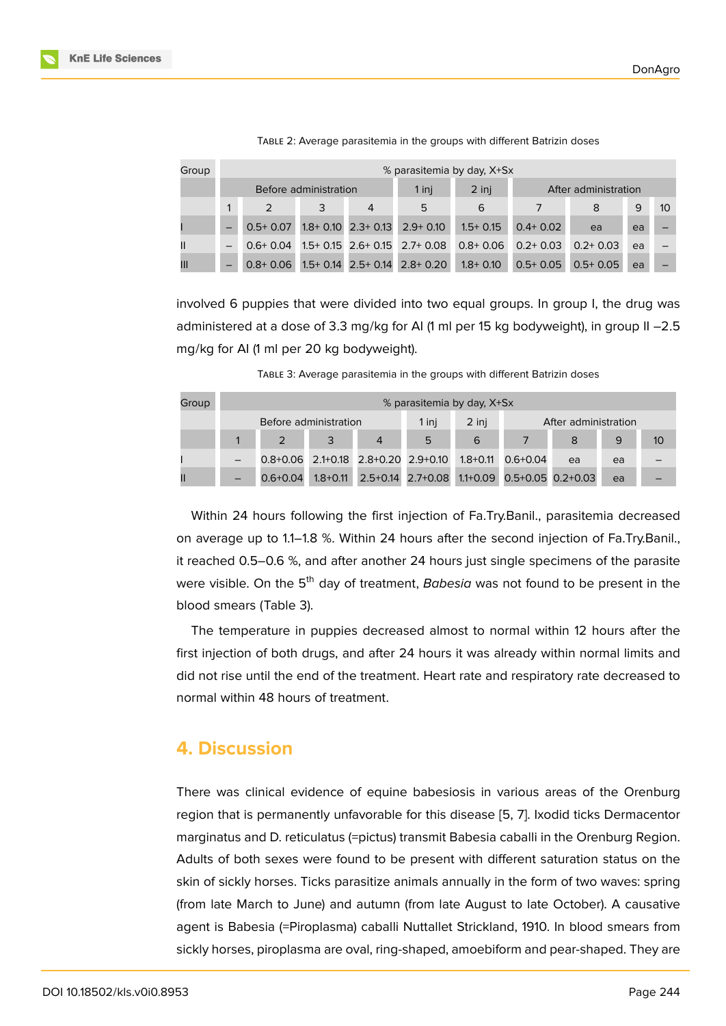| Group         | % parasitemia by day, X+Sx |              |  |   |                                        |              |                      |              |    |    |  |
|---------------|----------------------------|--------------|--|---|----------------------------------------|--------------|----------------------|--------------|----|----|--|
|               | Before administration      |              |  |   | $1$ inj                                | 2 inj        | After administration |              |    |    |  |
|               |                            |              |  | 4 | 5                                      | 6            |                      | 8            | 9  | 10 |  |
|               | $\overline{\phantom{0}}$   | $0.5+0.07$   |  |   | $1.8 + 0.10$ $2.3 + 0.13$ $2.9 + 0.10$ | $1.5+0.15$   | $0.4 + 0.02$         | ea           | ea |    |  |
| $\mathbf{II}$ | $\qquad \qquad -$          | $0.6 + 0.04$ |  |   | $1.5+0.15$ 2.6+0.15 2.7+0.08           | $0.8 + 0.06$ | $0.2 + 0.03$         | $0.2 + 0.03$ | ea |    |  |
| Ш             | $\overline{\phantom{0}}$   | $0.8 + 0.06$ |  |   | $1.5+0.14$ 2.5+ 0.14 2.8+ 0.20         | $1.8 + 0.10$ | $0.5+0.05$           | $0.5+0.05$   | ea |    |  |

| TABLE 2: Average parasitemia in the groups with different Batrizin doses |  |  |  |
|--------------------------------------------------------------------------|--|--|--|
|                                                                          |  |  |  |

involved 6 puppies that were divided into two equal groups. In group I, the drug was administered at a dose of 3.3 mg/kg for AI (1 ml per 15 kg bodyweight), in group II -2.5 mg/kg for AI (1 ml per 20 kg bodyweight).

TABLE 3: Average parasitemia in the groups with different Batrizin doses

| Group | % parasitemia by day, X+Sx |              |  |   |                                       |       |                         |                                                       |    |    |
|-------|----------------------------|--------------|--|---|---------------------------------------|-------|-------------------------|-------------------------------------------------------|----|----|
|       | Before administration      |              |  |   | 1 inj                                 | 2 inj | After administration    |                                                       |    |    |
|       |                            |              |  | 4 | 5                                     | 6     |                         |                                                       | 9  | 10 |
|       |                            |              |  |   | $0.8+0.06$ 2.1+0.18 2.8+0.20 2.9+0.10 |       | $1.8 + 0.11$ 0.6 + 0.04 | ea                                                    | ea |    |
| Ш     |                            | $0.6 + 0.04$ |  |   |                                       |       |                         | 1.8+0.11 2.5+0.14 2.7+0.08 1.1+0.09 0.5+0.05 0.2+0.03 | ea |    |

Within 24 hours following the first injection of Fa.Try.Banil., parasitemia decreased on average up to 1.1–1.8 %. Within 24 hours after the second injection of Fa.Try.Banil., it reached 0.5–0.6 %, and after another 24 hours just single specimens of the parasite were visible. On the 5<sup>th</sup> day of treatment, *Babesia* was not found to be present in the blood smears (Table 3).

The temperature in puppies decreased almost to normal within 12 hours after the first injection of both drugs, and after 24 hours it was already within normal limits and did not rise until the end of the treatment. Heart rate and respiratory rate decreased to normal within 48 hours of treatment.

#### **4. Discussion**

There was clinical evidence of equine babesiosis in various areas of the Orenburg region that is permanently unfavorable for this disease [5, 7]. Ixodid ticks Dermacentor marginatus and D. reticulatus (=pictus) transmit Babesia caballi in the Orenburg Region. Adults of both sexes were found to be present with different saturation status on the skin of sickly horses. Ticks parasitize animals annually i[n t](#page-6-2)[he](#page-6-4) form of two waves: spring (from late March to June) and autumn (from late August to late October). A causative agent is Babesia (=Piroplasma) caballi Nuttallet Strickland, 1910. In blood smears from sickly horses, piroplasma are oval, ring-shaped, amoebiform and pear-shaped. They are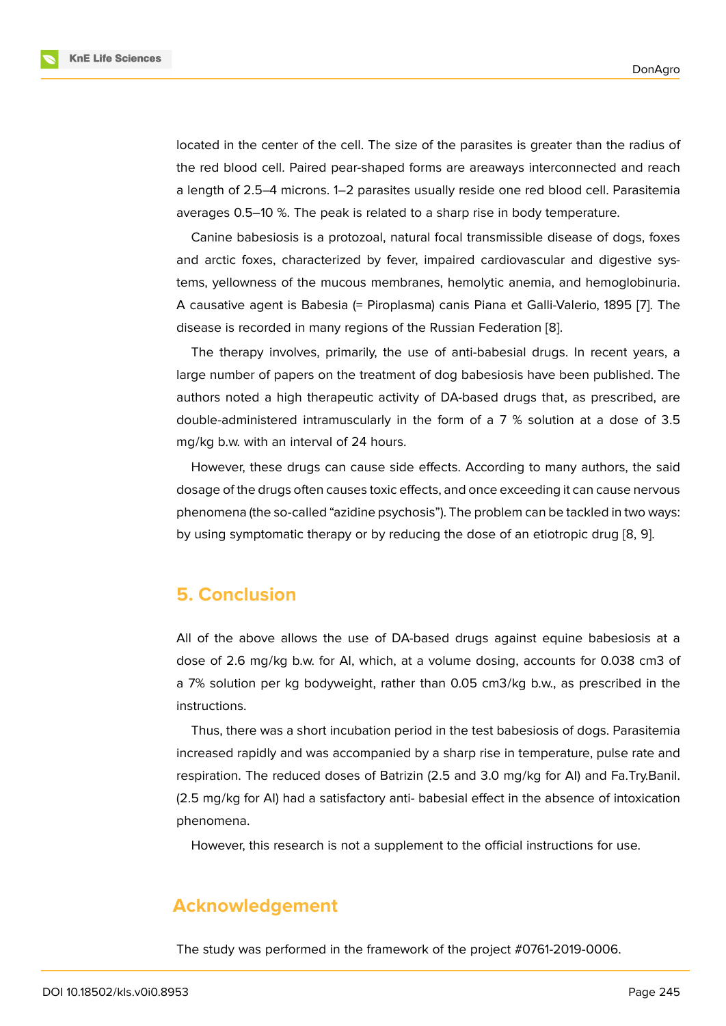located in the center of the cell. The size of the parasites is greater than the radius of the red blood cell. Paired pear-shaped forms are areaways interconnected and reach a length of 2.5–4 microns. 1–2 parasites usually reside one red blood cell. Parasitemia averages 0.5–10 %. The peak is related to a sharp rise in body temperature.

Canine babesiosis is a protozoal, natural focal transmissible disease of dogs, foxes and arctic foxes, characterized by fever, impaired cardiovascular and digestive systems, yellowness of the mucous membranes, hemolytic anemia, and hemoglobinuria. A causative agent is Babesia (= Piroplasma) canis Piana et Galli-Valerio, 1895 [7]. The disease is recorded in many regions of the Russian Federation [8].

The therapy involves, primarily, the use of anti-babesial drugs. In recent years, a large number of papers on the treatment of dog babesiosis have been publish[ed](#page-6-4). The authors noted a high therapeutic activity of DA-based drugs t[ha](#page-6-5)t, as prescribed, are double-administered intramuscularly in the form of a 7 % solution at a dose of 3.5 mg/kg b.w. with an interval of 24 hours.

However, these drugs can cause side effects. According to many authors, the said dosage of the drugs often causes toxic effects, and once exceeding it can cause nervous phenomena (the so-called "azidine psychosis"). The problem can be tackled in two ways: by using symptomatic therapy or by reducing the dose of an etiotropic drug [8, 9].

### **5. Conclusion**

All of the above allows the use of DA-based drugs against equine babesiosis at a dose of 2.6 mg/kg b.w. for AI, which, at a volume dosing, accounts for 0.038 cm3 of a 7% solution per kg bodyweight, rather than 0.05 cm3/kg b.w., as prescribed in the instructions.

Thus, there was a short incubation period in the test babesiosis of dogs. Parasitemia increased rapidly and was accompanied by a sharp rise in temperature, pulse rate and respiration. The reduced doses of Batrizin (2.5 and 3.0 mg/kg for AI) and Fa.Try.Banil. (2.5 mg/kg for AI) had a satisfactory anti- babesial effect in the absence of intoxication phenomena.

However, this research is not a supplement to the official instructions for use.

### **Acknowledgement**

The study was performed in the framework of the project #0761-2019-0006.